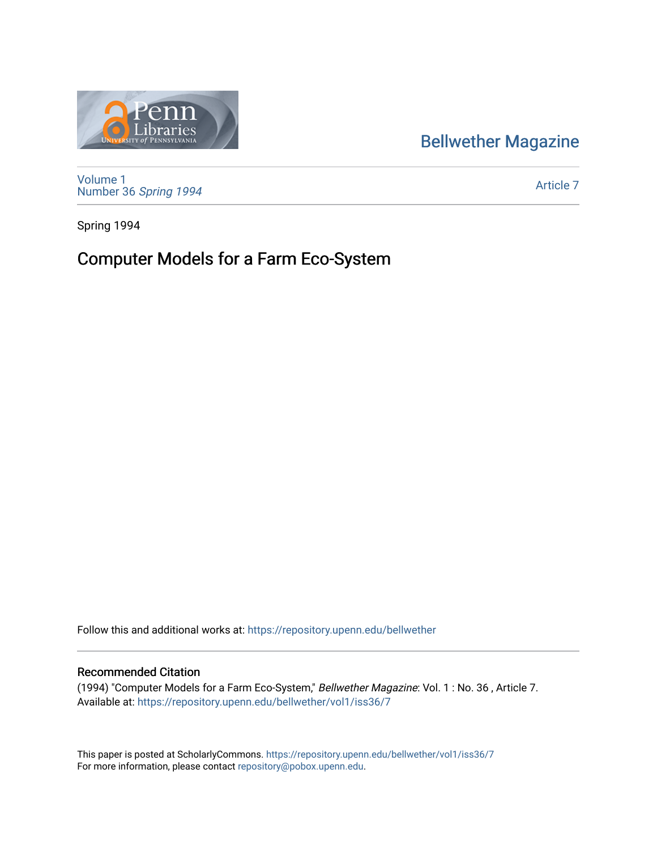## [Bellwether Magazine](https://repository.upenn.edu/bellwether)



[Volume 1](https://repository.upenn.edu/bellwether/vol1) [Number 36](https://repository.upenn.edu/bellwether/vol1/iss36) Spring 1994

[Article 7](https://repository.upenn.edu/bellwether/vol1/iss36/7) 

Spring 1994

## Computer Models for a Farm Eco-System

Follow this and additional works at: [https://repository.upenn.edu/bellwether](https://repository.upenn.edu/bellwether?utm_source=repository.upenn.edu%2Fbellwether%2Fvol1%2Fiss36%2F7&utm_medium=PDF&utm_campaign=PDFCoverPages) 

## Recommended Citation

(1994) "Computer Models for a Farm Eco-System," Bellwether Magazine: Vol. 1 : No. 36 , Article 7. Available at: [https://repository.upenn.edu/bellwether/vol1/iss36/7](https://repository.upenn.edu/bellwether/vol1/iss36/7?utm_source=repository.upenn.edu%2Fbellwether%2Fvol1%2Fiss36%2F7&utm_medium=PDF&utm_campaign=PDFCoverPages)

This paper is posted at ScholarlyCommons.<https://repository.upenn.edu/bellwether/vol1/iss36/7> For more information, please contact [repository@pobox.upenn.edu.](mailto:repository@pobox.upenn.edu)